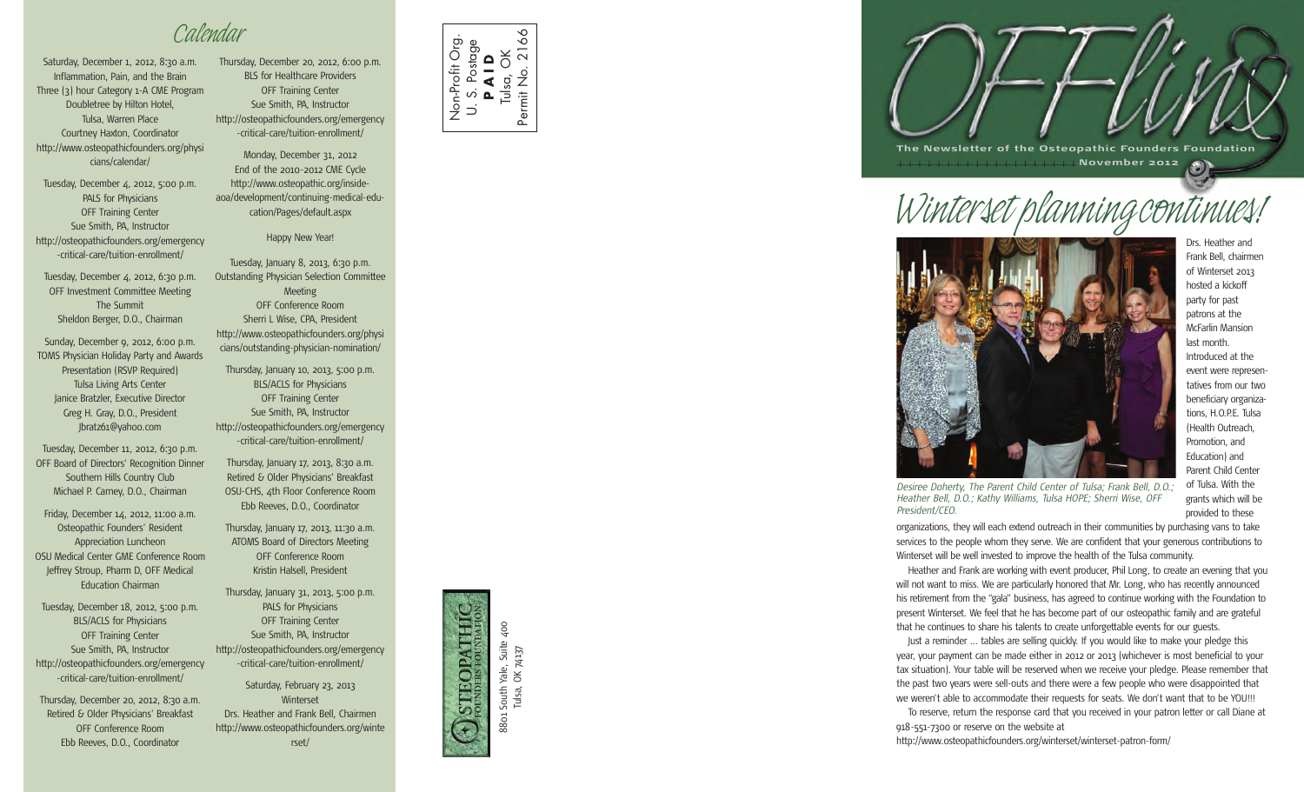*Calendar*

Saturday, December 1, 2012, 8:30 a.m. Inflammation, Pain, and the Brain Three (3) hour Category 1-A CME Program Doubletree by Hilton Hotel, Tulsa, Warren Place Courtney Haxton, Coordinator [http://www.osteopathicfounders.org/physi](http://www.osteopathicfounders.org/physicians/calendar/) [cians/calendar/](http://www.osteopathicfounders.org/physicians/calendar/)

Tuesday, December 4, 2012, 5:00 p.m. PALS for Physicians OFF Training Center Sue Smith, PA, Instructor [http://osteopathicfounders.org/emergency](http://osteopathicfounders.org/emergency-critical-care/tuition-enrollment/) [-critical-care/tuition-enrollment/](http://osteopathicfounders.org/emergency-critical-care/tuition-enrollment/)

Tuesday, December 4, 2012, 6:30 p.m. OFF Investment Committee Meeting The Summit Sheldon Berger, D.O., Chairman

Sunday, December 9, 2012, 6:00 p.m. TOMS Physician Holiday Party and Awards Presentation (RSVP Required) Tulsa Living Arts Center Janice Bratzler, Executive Director Greg H. Gray, D.O., President Jbratz61@yahoo.com

Tuesday, December 11, 2012, 6:30 p.m. OFF Board of Directors' Recognition Dinner Southern Hills Country Club Michael P. Carney, D.O., Chairman

Friday, December 14, 2012, 11:00 a.m. Osteopathic Founders' Resident Appreciation Luncheon OSU Medical Center GME Conference Room Jeffrey Stroup, Pharm D, OFF Medical Education Chairman

Tuesday, December 18, 2012, 5:00 p.m. BLS/ACLS for Physicians OFF Training Center Sue Smith, PA, Instructor [http://osteopathicfounders.org/emergency](http://osteopathicfounders.org/emergency-critical-care/tuition-enrollment/) [-critical-care/tuition-enrollment/](http://osteopathicfounders.org/emergency-critical-care/tuition-enrollment/)

Thursday, December 20, 2012, 8:30 a.m. Retired & Older Physicians' Breakfast OFF Conference Room Ebb Reeves, D.O., Coordinator

Thursday, December 20, 2012, 6:00 p.m. BLS for Healthcare Providers OFF Training Center Sue Smith, PA, Instructor [http://osteopathicfounders.org/emergency](http://osteopathicfounders.org/emergency-critical-care/tuition-enrollment/) [-critical-care/tuition-enrollment/](http://osteopathicfounders.org/emergency-critical-care/tuition-enrollment/)

Monday, December 31, 2012 End of the 2010-2012 CME Cycle http://www.osteopathic.org/insideaoa/development/continuing-medical-education/Pages/default.aspx

### Happy New Year!

Tuesday, January 8, 2013, 6:30 p.m. Outstanding Physician Selection Committee Meeting OFF Conference Room Sherri L Wise, CPA, President [http://www.osteopathicfounders.org/physi](http://www.osteopathicfounders.org/physicians/outstanding-physician-nomination/) [cians/outstanding-physician-nomination/](http://www.osteopathicfounders.org/physicians/outstanding-physician-nomination/)

Thursday, January 10, 2013, 5:00 p.m. BLS/ACLS for Physicians OFF Training Center Sue Smith, PA, Instructor [http://osteopathicfounders.org/emergency](http://osteopathicfounders.org/emergency-critical-care/tuition-enrollment/) [-critical-care/tuition-enrollment/](http://osteopathicfounders.org/emergency-critical-care/tuition-enrollment/)

Thursday, January 17, 2013, 8:30 a.m. Retired & Older Physicians' Breakfast OSU-CHS, 4th Floor Conference Room Ebb Reeves, D.O., Coordinator

Thursday, January 17, 2013, 11:30 a.m. ATOMS Board of Directors Meeting OFF Conference Room Kristin Halsell, President

Thursday, January 31, 2013, 5:00 p.m. PALS for Physicians OFF Training Center Sue Smith, PA, Instructor [http://osteopathicfounders.org/emergency](http://osteopathicfounders.org/emergency-critical-care/tuition-enrollment/) [-critical-care/tuition-enrollment/](http://osteopathicfounders.org/emergency-critical-care/tuition-enrollment/)

Saturday, February 23, 2013 Winterset Drs. Heather and Frank Bell, Chairmen [http://www.osteopathicfounders.org/winte](http://www.osteopathicfounders.org/winterset/) [rset/](http://www.osteopathicfounders.org/winterset/)



## THURGOR 8801 South Yale, Suite 400 Tulsa, OK 74137 South<sup>'</sup> Tulsa, 8801





*Winterset planningcontinues!*



Drs. Heather and Frank Bell, chairmen of Winterset 2013 hosted a kickoff party for past patrons at the McFarlin Mansion last month. Introduced at the event were representatives from our two beneficiary organizations, H.O.P.E. Tulsa (Health Outreach, Promotion, and Education) and Parent Child Center of Tulsa. With the grants which will be

provided to these

*Desiree Doherty, The Parent Child Center of Tulsa; Frank Bell, D.O.; Heather Bell, D.O.; Kathy Williams, Tulsa HOPE; Sherri Wise, OFF President/CEO.*

organizations, they will each extend outreach in their communities by purchasing vans to take services to the people whom they serve. We are confident that your generous contributions to Winterset will be well invested to improve the health of the Tulsa community.

Heather and Frank are working with event producer, Phil Long, to create an evening that you will not want to miss. We are particularly honored that Mr. Long, who has recently announced his retirement from the "gala" business, has agreed to continue working with the Foundation to present Winterset. We feel that he has become part of our osteopathic family and are grateful that he continues to share his talents to create unforgettable events for our guests.

Just a reminder ... tables are selling quickly. If you would like to make your pledge this year, your payment can be made either in 2012 or 2013 (whichever is most beneficial to your tax situation). Your table will be reserved when we receive your pledge. Please remember that the past two years were sell-outs and there were a few people who were disappointed that we weren't able to accommodate their requests for seats. We don't want that to be YOU!!!

To reserve, return the response card that you received in your patron letter or call Diane at 918-551-7300 or reserve on the website at

<http://www.osteopathicfounders.org/winterset/winterset-patron-form/>